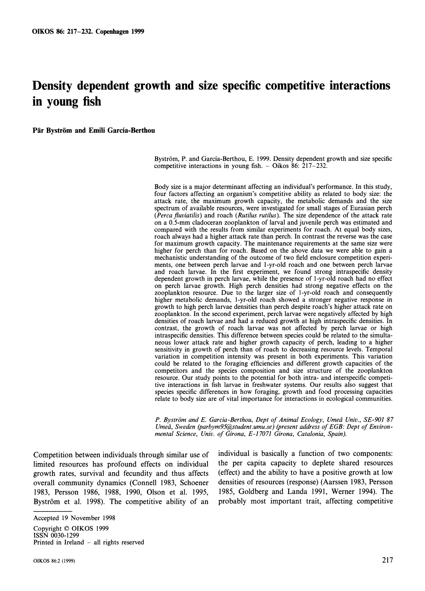# **Density dependent growth and size specific competitive interactions in young fish**

**Par Bystrom and Emili Garcia-Berthou** 

Byström, P. and García-Berthou, E. 1999. Density dependent growth and size specific competitive interactions in young fish.  $-$  Oikos 86: 217-232.

Body size is a major determinant affecting an individual's performance. In this study, four factors affecting an organism's competitive ability as related to body size: the attack rate, the maximum growth capacity, the metabolic demands and the size spectrum of available resources, were investigated for small stages of Eurasian perch *(Percu fluviatilis)* and roach *(Rutilus rutilus).* The size dependence of the attack rate on a 0.5-mm cladoceran zooplankton of larval and juvenile perch was estimated and compared with the results from similar experiments for roach. At equal body sizes, roach always had a higher attack rate than perch. In contrast the reverse was the case for maximum growth capacity. The maintenance requirements at the same size were higher for perch than for roach. Based on the above data we were able to gain a mechanistic understanding of the outcome of two field enclosure competition experiments, one between perch larvae and I-yr-old roach and one between perch larvae and roach larvae. In the first experiment, we found strong intraspecific density dependent growth in perch larvae, while the presence of I-yr-old roach had no effect on perch larvae growth. High perch densities had strong negative effects on the zooplankton resource. Due to the larger size of I-yr-old roach and consequently higher metabolic demands, I-yr-old roach showed a stronger negative response in growth to high perch larvae densities than perch despite roach's higher attack rate on zooplankton. In the second experiment, perch larvae were negatively affected by high densities of roach larvae and had a reduced growth at high intraspecific densities. In contrast, the growth of roach larvae was not affected by perch larvae or high intraspecific densities. This difference between species could be related to the simultaneous lower attack rate and higher growth capacity of perch, leading to a higher sensitivity in growth of perch than of roach to decreasing resource levels. Temporal variation in competition intensity was present in both experiments. This variation could be related to the foraging efficiencies and different growth capacities of the competitors and the species composition and size structure of the zooplankton resource. Our study points to the potential for both intra- and interspecific competitive interactions in fish larvae in freshwater systems. Our results also suggest that species specific differences in how foraging, growth and food processing capacities relate to body size are of vital importance for interactions in ecological communities.

P. Byström and E. Garcia-Berthou, Dept of Animal Ecology, Umeå Univ., SE-901 87 Umeå, Sweden (parbym95@student.umu.se) (present address of EGB: Dept of Environ*mental Science, Unic. of Girona, E-17071 Girona, Cutalonia, Spain).* 

limited resources has profound effects on individual growth rates, survival and fecundity and thus affects (effect) and the ability to have a positive growth at low overall community dynamics (Connell 1983, Schoener densities of resources (response) (Aarssen 1983, Persson 1983, Persson 1986, 1988, 1990, Olson et al. 1995, 1985, Goldberg and Landa 1991, Werner 1994). The Byström et al. 1998). The competitive ability of an probably most important trait, affecting competitive

Competition between individuals through similar use of individual is basically a function of two components:<br>limited resources has profound effects on individual the per capita capacity to deplete shared resources

Accepted 19 November 1998

Copyright *O* OIKOS 1999 ISSN 0030-1299 Printed in Ireland - all rights reserved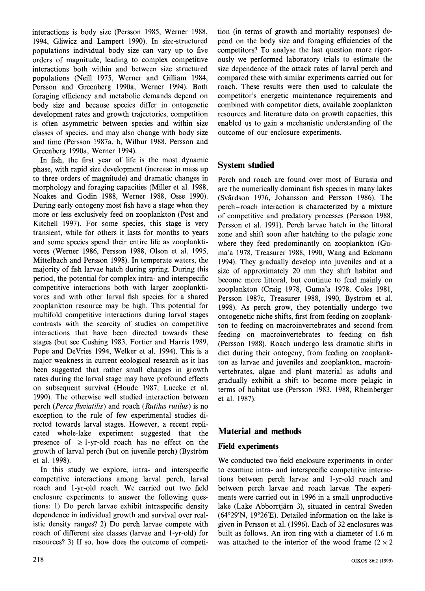interactions is body size (Persson 1985, Werner 1988, 1994, Gliwicz and Lampert 1990). In size-structured populations individual body size can vary up to five orders of magnitude, leading to complex competitive interactions both within and between size structured populations (Neill 1975, Werner and Gilliam 1984, Persson and Greenberg 1990a, Werner 1994). Both foraging efficiency and metabolic demands depend on body size and because species differ in ontogenetic development rates and growth trajectories, competition is often asymmetric between species and within size classes of species, and may also change with body size and time (Persson !987a, b, Wilbur 1988, Persson and Greenberg 1990a, Werner 1994).

In fish, the first year of life is the most dynamic phase, with rapid size development (increase in mass up to three orders of magnitude) and dramatic changes in morphology and foraging capacities (Miller et al. 1988, Noakes and Godin 1988, Werner 1988, Osse 1990). During early ontogeny most fish have a stage when they more or less exclusively feed on zooplankton (Post and Kitchell 1997). For some species, this stage is very transient, while for others it lasts for months to years and some species spend their entire life as zooplanktivores (Werner 1986, Persson 1988, Olson et al. 1995, Mittelbach and Persson 1998). In temperate waters, the majority of fish larvae hatch during spring. During this period, the potential for complex intra- and interspecific competitive interactions both with larger zooplanktivores and with other larval fish species for a shared zooplankton resource may be high. This potential for multifold competitive interactions during larval stages contrasts with the scarcity of studies on competitive interactions that have been directed towards these stages (but see Cushing 1983, Fortier and Harris 1989, Pope and DeVries 1994, Welker et al. 1994). This is a major weakness in current ecological research as it has been suggested that rather small changes in growth rates during the larval stage may have profound effects on subsequent survival (Houde 1987, Luecke et al. 1990). The otherwise well studied interaction between perch (Perca fluviatilis) and roach (Rutilus rutilus) is no exception to the rule of few experimental studies directed towards larval stages. However, a recent replicated whole-lake experiment suggested that the presence of  $\geq$  1-yr-old roach has no effect on the growth of larval perch (but on juvenile perch) (Bystrom et al. 1998).

In this study we explore, intra- and interspecific competitive interactions among larval perch, larval roach and 1-yr-old roach. We carried out two field enclosure experiments to answer the following questions: 1) Do perch larvae exhibit intraspecific density dependence in individual growth and survival over realistic density ranges? 2) Do perch larvae compete with roach of different size classes (larvae and 1-yr-old) for resources? 3) If so, how does the outcome of competition (in terms of growth and mortality responses) depend on the body size and foraging efficiencies of the competitors? To analyse the last question more rigorously we performed laboratory trials to estimate the size dependence of the attack rates of larval perch and compared these with similar experiments carried out for roach. These results were then used to calculate the competitor's energetic maintenance requirements and combined with competitor diets, available zooplankton resources and literature data on growth capacities, this enabled us to gain a mechanistic understanding of the outcome of our enclosure experiments.

# **System studied**

Perch and roach are found over most of Eurasia and are the numerically dominant fish species in many lakes (Svardson 1976, Johansson and Persson 1986). The perch-roach interaction is characterized by a mixture of competitive and predatory processes (Persson 1988, Persson et al. 1991). Perch larvae hatch in the littoral zone and shift soon after hatching to the pelagic zone where they feed predominantly on zooplankton (Guma'a 1978, Treasurer 1988, 1990, Wang and Eckmann 1994). They gradually develop into juveniles and at a size of approximately 20 mm they shift habitat and become more littoral, but continue to feed mainly on zooplankton (Craig 1978, Guma'a 1978, Coles 1981, Persson 1987c, Treasurer 1988, 1990, Byström et al. 1998). As perch grow, they potentially undergo two ontogenetic niche shifts, first from feeding on zooplankton to feeding on macroinvertebrates and second from feeding on macroinvertebrates to feeding on fish (Persson 1988). Roach undergo less dramatic shifts in diet during their ontogeny, from feeding on zooplankton as larvae and juveniles and zooplankton, macroinvertebrates, algae and plant material as adults and gradually exhibit a shift to become more pelagic in terms of habitat use (Persson 1983, 1988, Rheinberger et al. 1987).

# **Material and methods**

# **Field experiments**

We conducted two field enclosure experiments in order to examine intra- and interspecific competitive interactions between perch larvae and 1-yr-old roach and between perch larvae and roach larvae. The experiments were carried out in 1996 in a small unproductive lake (Lake Abborrtjarn 3), situated in central Sweden  $(64°29'N, 19°26'E)$ . Detailed information on the lake is given in Persson et al. (1996). Each of 32 enclosures was built as follows. An iron ring with a diameter of 1.6 m was attached to the interior of the wood frame  $(2 \times 2)$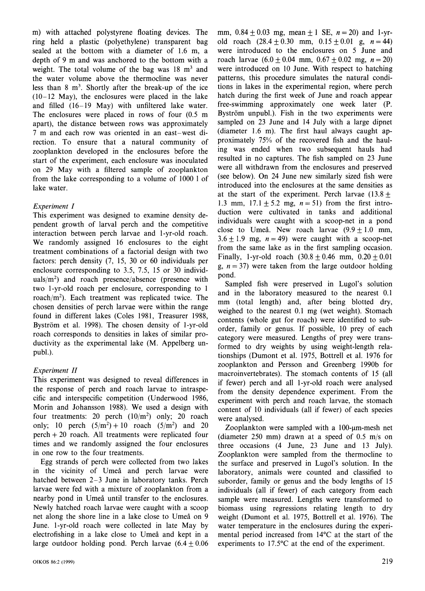m) with attached polystyrene floating devices. The ring held a plastic (polyethylene) transparent bag sealed at the bottom with a diameter of 1.6 m, a depth of 9 m and was anchored to the bottom with a weight. The total volume of the bag was  $18 \text{ m}^3$  and the water volume above the thermocline was never less than  $8 \text{ m}^3$ . Shortly after the break-up of the ice (10-12 May), the enclosures were placed in the lake and filled (16-19 May) with unfiltered lake water. The enclosures were placed in rows of four (0.5 m apart), the distance between rows was approximately 7 m and each row was oriented in an east-west direction. To ensure that a natural community of zooplankton developed in the enclosures before the start of the experiment, each enclosure was inoculated on 29 May with a filtered sample of zooplankton from the lake corresponding to a volume of 1000 I of lake water.

# *Experiment I*

This experiment was designed to examine density dependent growth of larval perch and the competitive interaction between perch larvae and 1-yr-old roach. We randomly assigned 16 enclosures to the eight treatment combinations of a factorial design with two factors: perch density (7, 15, 30 or 60 individuals per enclosure corresponding to 3.5, 7.5, 15 or 30 individuals/ $m<sup>2</sup>$ ) and roach presence/absence (presence with two 1-yr-old roach per enclosure, corresponding to 1 roach/ $m<sup>2</sup>$ ). Each treatment was replicated twice. The chosen densities of perch larvae were within the range found in different lakes (Coles 1981, Treasurer 1988, Byström et al. 1998). The chosen density of 1-yr-old roach corresponds to densities in lakes of similar productivity as the experimental lake (M. Appelberg unpubl.).

# *Experiment* 11

This experiment was designed to reveal differences in the response of perch and roach larvae to intraspecific and interspecific competition (Underwood 1986, Morin and Johansson 1988). We used a design with four treatments: 20 perch  $(10/m^2)$  only; 20 roach only; 10 perch  $(5/m^2) + 10$  roach  $(5/m^2)$  and 20 perch + 20 roach. All treatments were replicated four times and we randomly assigned the four enclosures in one row to the four treatments.

Egg strands of perch were collected from two lakes in the vicinity of Umeå and perch larvae were hatched between 2-3 June in laboratory tanks. Perch larvae were fed with a mixture of zooplankton from a nearby pond in Umeå until transfer to the enclosures. Newly hatched roach larvae were caught with a scoop net along the shore line in a lake close to Umeå on 9 June. 1-yr-old roach were collected in late May by electrofishing in a lake close to Umeå and kept in a large outdoor holding pond. Perch larvae  $(6.4 \pm 0.06)$  mm,  $0.84 \pm 0.03$  mg, mean  $\pm 1$  SE,  $n = 20$ ) and 1-yrold roach  $(28.4 \pm 0.30 \text{ mm}, 0.15 \pm 0.01 \text{ g}, n = 44)$ were introduced to the enclosures on 5 June and roach larvae  $(6.0 \pm 0.04 \text{ mm}, 0.67 \pm 0.02 \text{ mg}, n = 20)$ were introduced on 10 June. With respect to hatching patterns, this procedure simulates the natural conditions in lakes in the experimental region, where perch hatch during the first week of June and roach appear free-swimming approximately one week later (P. Byström unpubl.). Fish in the two experiments were sampled on 23 June and 14 July with a large dipnet (diameter 1.6 m). The first haul always caught approximately 75% of the recovered fish and the hauling was ended when two subsequent hauls had resulted in no captures. The fish sampled on 23 June were all withdrawn from the enclosures and preserved (see below). On 24 June new similarly sized fish were introduced into the enclosures at the same densities as at the start of the experiment. Perch larvae  $(13.8 \pm$ 1.3 mm,  $17.1 + 5.2$  mg,  $n = 51$ ) from the first introduction were cultivated in tanks and additional individuals were caught with a scoop-net in a pond close to Umeå. New roach larvae  $(9.9 \pm 1.0 \text{ mm})$ ,  $3.6 \pm 1.9$  mg,  $n = 49$ ) were caught with a scoop-net from the same lake as in the first sampling occasion. Finally, 1-yr-old roach  $(30.8 \pm 0.46 \text{ mm}, 0.20 \pm 0.01)$ g,  $n = 37$ ) were taken from the large outdoor holding pond.

Sampled fish were preserved in Lugol's solution and in the laboratory measured to the nearest 0.1 mm (total length) and, after being blotted dry, weighed to the nearest 0.1 mg (wet weight). Stomach contents (whole gut for roach) were identified to suborder, family or genus. If possible, 10 prey of each category were measured. Lengths of prey were transformed to dry weights by using weight-length relationships (Dumont et al. 1975, Bottrell et al. 1976 for zooplankton and Persson and Greenberg 1990b for macroinvertebrates). The stomach contents of 15 (all if fewer) perch and all I-yr-old roach were analysed from the density dependence experiment. From the experiment with perch and roach larvae, the stomach content of 10 individuals (all if fewer) of each species were analysed.

Zooplankton were sampled with a  $100$ - $\mu$ m-mesh net (diameter 250 mm) drawn at a speed of 0.5 m/s on three occasions (4 June, 23 June and 13 July). Zooplankton were sampled from the thermocline to the surface and preserved in Lugol's solution. In the laboratory, animals were counted and classified to suborder, family or genus and the body lengths of 15 individuals (all if fewer) of each category from each sample were measured. Lengths were transformed to biomass using regressions relating length to dry weight (Dumont et al. 1975, Bottrell et al. 1976). The water temperature in the enclosures during the experimental period increased from 14°C at the start of the experiments to  $17.5^{\circ}$ C at the end of the experiment.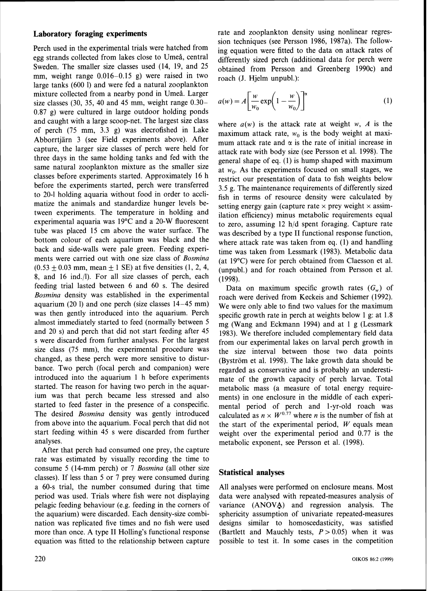#### **Laboratory foraging experiments**

Perch used in the experimental trials were hatched from egg strands collected from lakes close to Umeå, central Sweden. The smaller size classes used (14, 19, and 25 mm, weight range  $0.016-0.15$  g) were raised in two large tanks (600 1) and were fed a natural zooplankton mixture collected from a nearby pond in Umeå. Larger size classes (30, 35, 40 and 45 mm, weight range 0.30- 0.87 g) were cultured in large outdoor holding ponds and caught with a large scoop-net. The largest size class of perch (75 mm, 3.3 g) was elecrofished in Lake Abborrtjarn 3 (see Field experiments above). After capture, the larger size classes of perch were held for three days in the same holding tanks and fed with the same natural zooplankton mixture as the smaller size classes before experiments started. Approximately 16 h before the experiments started, perch were transferred to 20-1 holding aquaria without food in order to acclimatize the animals and standardize hunger levels between experiments. The temperature in holding and experimental aquaria was 19°C and a 20-W fluorescent tube was placed 15 cm above the water surface. The bottom colour of each aquarium was black and the back and side-walls were pale green. Feeding experiments were carried out with one size class of Bosmina  $(0.53 \pm 0.03 \text{ mm}, \text{mean } \pm 1 \text{ SE})$  at five densities (1, 2, 4, 8, and 16 ind./l). For all size classes of perch, each feeding trial lasted between 6 and 60 s. The desired Bosmina density was established in the experimental aquarium (20 1) and one perch (size classes 14-45 mm) was then gently introduced into the aquarium. Perch almost immediately started to feed (normally between 5 and 20 s) and perch that did not start feeding after 45 s were discarded from further analyses. For the largest size class (75 mm), the experimental procedure was changed, as these perch were more sensitive to disturbance. Two perch (focal perch and companion) were introduced into the aquarium 1 h before experiments started. The reason for having two perch in the aquarium was that perch became less stressed and also started to feed faster in the presence of a conspecific. The desired *Bosmina* density was gently introduced from above into the aquarium. Focal perch that did not start feeding within 45 s were discarded from further analyses.

After that perch had consumed one prey, the capture rate was estimated by visually recording the time to consume 5 (14-mm perch) or 7 Bosmina (all other size classes). If less than 5 or 7 prey were consumed during a 60-s trial, the number consumed during that time period was used. Trials where fish were not displaying pelagic feeding behaviour (e.g. feeding in the corners of the aquarium) were discarded. Each density-size combination was replicated five times and no fish were used more than once. A type I1 Holling's functional response equation was fitted to the relationship between capture rate and zooplankton density using nonlinear regression techniques (see Persson 1986, 1987a). The following equation were fitted to the data on attack rates of differently sized perch (additional data for perch were obtained from Persson and Greenberg 1990c) and roach (J. Hjelm unpubl.):

$$
a(w) = A \left[ \frac{w}{w_0} \exp\left(1 - \frac{w}{w_0}\right) \right]^\alpha \tag{1}
$$

where  $a(w)$  is the attack rate at weight w, *A* is the maximum attack rate,  $w_0$  is the body weight at maximum attack rate and  $\alpha$  is the rate of initial increase in attack rate with body size (see Persson et al. 1998). The general shape of eq. (1) is hump shaped with maximum at  $w_0$ . As the experiments focused on small stages, we restrict our presentation of data to fish weights below 3.5 g. The maintenance requirements of differently sized fish in terms of resource density were calculated by setting energy gain (capture rate  $\times$  prey weight  $\times$  assimilation efficiency) minus metabolic requirements equal to zero, assuming  $12 \text{ h/d}$  spent foraging. Capture rate was described by a type I1 functional response function, where attack rate was taken from eq. (1) and handling time was taken from Lessmark (1983). Metabolic data (at 19°C) were for perch obtained from Claesson et al. (unpubl.) and for roach obtained from Persson et al. (1998).

Data on maximum specific growth rates  $(G_w)$  of roach were derived from Keckeis and Schiemer (1992). We were only able to find two values for the maximum specific growth rate in perch at weights below 1 g: at 1.8 mg (Wang and Eckmann 1994) and at 1 g (Lessmark 1983). We therefore included complementary field data from our experimental lakes on larval perch growth in the size interval between those two data points (Bystrom et al. 1998). The lake growth data should be regarded as conservative and is probably an underestimate of the growth capacity of perch larvae. Total metabolic mass (a measure of total energy requirements) in one enclosure in the middle of each experimental period of perch and 1-yr-old roach was calculated as  $n \times W^{0.77}$  where *n* is the number of fish at the start of the experimental period, *W* equals mean weight over the experimental period and 0.77 is the metabolic exponent, see Persson et al. (1998).

#### **Statistical analyses**

All analyses were performed on enclosure means. Most data were analysed with repeated-measures analysis of variance (ANOVA) and regression analysis. The sphericity assumption of univariate repeated-measures designs similar to homoscedasticity, was satisfied (Bartlett and Mauchly tests,  $P > 0.05$ ) when it was possible to test it. In some cases in the competition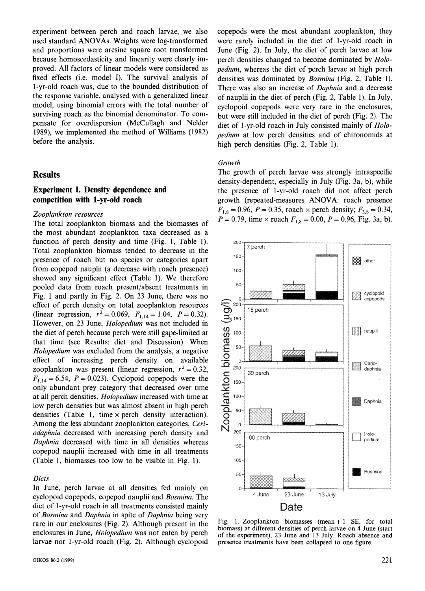experiment between perch and roach larvae, we also used standard ANOVAs. Weights were log-transformed and proportions were arcsine square root transformed because homoscedasticity and linearity were clearly improved. All factors of linear models were considered as fixed effects (i.e. model I). The survival analysis of 1-yr-old roach was, due to the bounded distribution of the response variable, analysed with a generalized linear model, using binomial errors with the total number of surviving roach as the binomial denominator. To compensate for overdispersion (McCullagh and Nelder 1989), we implemented the method of Williams (1982) before the analysis.

# **Results**

# **Experiment I. Density dependence and competition with 1-yr-old roach**

#### *Zooplankton resources*

The total zooplankton biomass and the biomasses of the most abundant zooplankton taxa decreased as a function of perch density and time (Fig. 1, Table I). Total zooplankton biomass tended to decrease in the presence of roach but no species or categories apart from copepod nauplii (a decrease with roach presence) showed any significant effect (Table 1). We therefore pooled data from roach present/absent treatments in Fig. 1 and partly in Fig. 2. On 23 June, there was no effect of perch density on total zooplankton resources (linear regression,  $r^2 = 0.069$ ,  $F_{1,14} = 1.04$ ,  $P = 0.32$ ). However, on 23 June, *Holopedium* was not included in the diet of perch because perch were still gape-limited at that time (see Results: diet and Discussion). When *Holopedium* was excluded from the analysis, a negative effect of increasing perch density on available zooplankton was present (linear regression,  $r^2 = 0.32$ ,  $F_{1,14} = 6.54$ ,  $P = 0.023$ ). Cyclopoid copepods were the only abundant prey category that decreased over time at all perch densities. *Holopedium* increased with time at low perch densities but was almost absent in high perch densities (Table 1, time  $\times$  perch density interaction). Among the less abundant zooplankton categories, *Ceriodaphnia* decreased with increasing perch density and *Daphnia* decreased with time in all densities whereas copepod nauplii increased with time in all treatments (Table 1, biomasses too low to be visible in Fig. 1).

#### *Diets*

In June, perch larvae at all densities fed mainly on cyclopoid copepods, copepod nauplii and *Bosmina.* The diet of 1-yr-old roach in all treatments consisted mainly of *Bosmina* and *Daphnia* in spite of *Daphnia* being very rare in our enclosures (Fig. 2). Although present in the enclosures in June, *Holopedium* was not eaten by perch larvae nor I-yr-old roach (Fig. 2). Although cyclopoid copepods were the most abundant zooplankton, they were rarely included in the diet of 1-yr-old roach in June (Fig. 2). In July, the diet of perch larvae at low perch densities changed to become dominated by *Holopedium,* whereas the diet of perch larvae at high perch densities was dominated by *Bosmina* (Fig. 2, Table 1). There was also an increase of *Daphnia* and a decrease of nauplii in the diet of perch (Fig. 2, Table I). In July, cyclopoid copepods were very rare in the enclosures, but were still included in the diet of perch (Fig. 2). The diet of 1-yr-old roach in July consisted mainly of *Holopedium* at low perch densities and of chironomids at high perch densities (Fig. 2, Table 1).

#### *Growth*

The growth of perch larvae was strongly intraspecific density-dependent, especially in July (Fig. 3a, b), while the presence of 1-yr-old roach did not affect perch growth (repeated-measures ANOVA: roach presence  $F_{1,8} = 0.96$ ,  $P = 0.35$ , roach  $\times$  perch density;  $F_{3,8} = 0.34$ ,  $P = 0.79$ , time × roach  $F_{1,8} = 0.00$ ,  $P = 0.96$ , Fig. 3a, b).



Fig. 1. Zooplankton biomasses (mean  $+1$  SE, for total biomass) at different densities of perch larvae on **4** June (start of the experiment), 23 June and 13 July. Roach absence and presence treatments have been collapsed to one figure.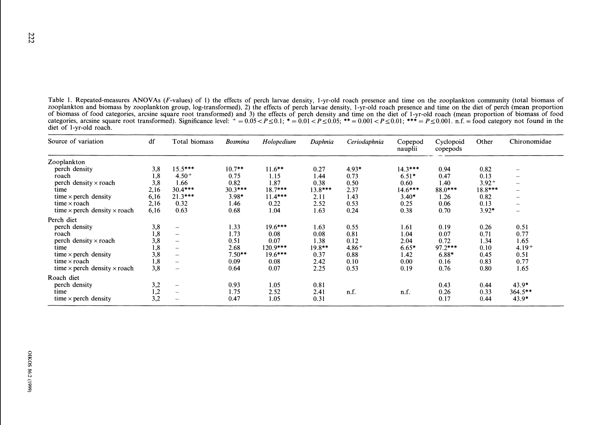Table 1. Repeated-measures ANOVAs (F-values) of 1) the effects of perch larvae density. I-yr-old roach presence and time on the zooplankton community (total biomass of zooplankton and biomass by zooplankton group, log-transformed), 2) the effects of perch larvae density, 1-yr-old roach presence and time on the diet of perch (mean proportion of biomass of food categories, arcsine square root transformed) and 3) the cffects of perch density and time on the diet of I-yr-old roach (mean proportion of biomass of food Table 1. Repeated-measures ANOVAs (*F*-values) of 1) the effects of perch larvae density, 1-yr-old roach presence and time on the zooplankton community (total biomass of zooplankton and biomass by zooplankton group, log-t diet of I-yr-old roach.

| Source of variation                        | df   | Total biomass            | Bosmina   | Holopedium | Daphnia  | Ceriodaphnia | Copepod<br>nauplii | Cyclopoid<br>copepods | Other    | Chironomidae                   |
|--------------------------------------------|------|--------------------------|-----------|------------|----------|--------------|--------------------|-----------------------|----------|--------------------------------|
| Zooplankton                                |      |                          |           |            |          |              |                    |                       |          |                                |
| perch density                              | 3,8  | $15.5***$                | $10.7***$ | $11.6***$  | 0.27     | 4.93*        | $14.3***$          | 0.94                  | 0.82     | $\qquad \qquad \longleftarrow$ |
| roach                                      | 1,8  | $4.50+$                  | 0.75      | 1.15       | 1.44     | 0.73         | $6.51*$            | 0.47                  | 0.13     | $\sim$                         |
| perch density $\times$ roach               | 3,8  | 1.66                     | 0.82      | 1.87       | 0.38     | 0.50         | 0.60               | 1.40                  | $3.92 +$ | $\overline{\phantom{m}}$       |
| time                                       | 2,16 | $30.4***$                | $30.3***$ | $18.7***$  | 13.8***  | 2.37         | $14.6***$          | 88.0***               | 18.8***  | $\sim$                         |
| time $\times$ perch density                | 6,16 | $21.3***$                | $3.98*$   | $11.4***$  | 2.11     | 1.43         | $3.40*$            | 1.26                  | 0.82     | $\sim$                         |
| time $\times$ roach                        | 2,16 | 0.32                     | 1.46      | 0.22       | 2.52     | 0.53         | 0.25               | 0.06                  | 0.13     | $\overline{\phantom{a}}$       |
| time $\times$ perch density $\times$ roach | 6,16 | 0.63                     | 0.68      | 1.04       | 1.63     | 0.24         | 0.38               | 0.70                  | $3.92*$  | $\sim$                         |
| Perch diet                                 |      |                          |           |            |          |              |                    |                       |          |                                |
| perch density                              | 3,8  |                          | 1.33      | $19.6***$  | 1.63     | 0.55         | 1.61               | 0.19                  | 0.26     | 0.51                           |
| roach                                      | 1,8  | $\overline{\phantom{a}}$ | 1.73      | 0.08       | 0.08     | 0.81         | 1.04               | 0.07                  | 0.71     | 0.77                           |
| perch density $\times$ roach               | 3,8  |                          | 0.51      | 0.07       | 1.38     | 0.12         | 2.04               | 0.72                  | 1.34     | 1.65                           |
| time                                       | 1,8  | $\overline{\phantom{a}}$ | 2.68      | $120.9***$ | $19.8**$ | $4.86+$      | $6.65*$            | $97.2***$             | 0.10     | $4.19+$                        |
| time $\times$ perch density                | 3,8  | $\overline{\phantom{m}}$ | $7.50**$  | $19.6***$  | 0.37     | 0.88         | 1.42               | $6.88*$               | 0.45     | 0.51                           |
| time $\times$ roach                        | 1,8  | $\sim$                   | 0.09      | 0.08       | 2.42     | 0.10         | 0.00               | 0.16                  | 0.83     | 0.77                           |
| time $\times$ perch density $\times$ roach | 3,8  |                          | 0.64      | 0.07       | 2.25     | 0.53         | 0.19               | 0.76                  | 0.80     | 1.65                           |
| Roach diet                                 |      |                          |           |            |          |              |                    |                       |          |                                |
| perch density                              | 3,2  | -                        | 0.93      | 1.05       | 0.81     |              |                    | 0.43                  | 0.44     | $43.9*$                        |
| time                                       | 1,2  | $\sim$                   | 1.75      | 2.52       | 2.41     | n.f.         | n.f.               | 0.26                  | 0.33     | $364.5***$                     |
| time $\times$ perch density                | 3,2  | ---                      | 0.47      | 1.05       | 0.31     |              |                    | 0.17                  | 0.44     | $43.9*$                        |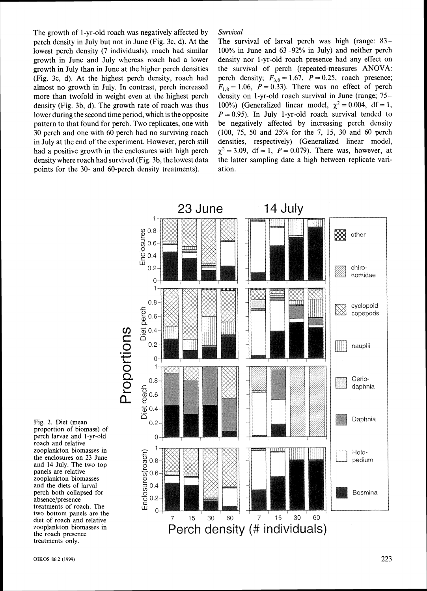The growth of 1-yr-old roach was negatively affected by Survival perch density in July but not in June (Fig. 3c, d). At the lowest perch density (7 individuals), roach had similar growth in June and July whereas roach had a lower growth in July than in June at the higher perch densities (Fig. 3c, d). At the highest perch density, roach had almost no growth in July. In contrast, perch increased more than twofold in weight even at the highest perch density (Fig. 3b, d). The growth rate of roach was thus lower during the second time period, which is the opposite pattern to that found for perch. Two replicates, one with 30 perch and one with 60 perch had no surviving roach in July at the end of the experiment. However, perch still had a positive growth in the enclosures with high perch density where roach had survived (Fig. 3b, the lowest data points for the 30- and 60-perch density treatments).

The survival of larval perch was high (range: 83- 100% in June and 63-92% in July) and neither perch density nor 1-yr-old roach presence had any effect on the survival of perch (repeated-measures **ANOVA:**  perch density;  $F_{3.8} = 1.67$ ,  $P = 0.25$ , roach presence;  $F_{1,8} = 1.06$ ,  $P = 0.33$ ). There was no effect of perch density on 1-yr-old roach survival in June (range; 75- 100%) (Generalized linear model,  $\chi^2 = 0.004$ , df = 1,  $P = 0.95$ ). In July 1-yr-old roach survival tended to be negatively affected by increasing perch density (100, 75, 50 and 25% for the 7, 15, 30 and 60 perch densities, respectively) (Generalized linear model,  $\chi^2 = 3.09$ , df = 1, P = 0.079). There was, however, at the latter sampling date a high between replicate variation.



Fig. 2. Diet (mean proportion of biomass) of perch larvae and I-yr-old roach and relative zooplankton biomasses in the enclosures on 23 June and 14 July. The two top panels are relative zooplankton biomasses and the diets of larval perch both collapsed for absence/presence treatments of roach. The two bottom panels are the treatments only.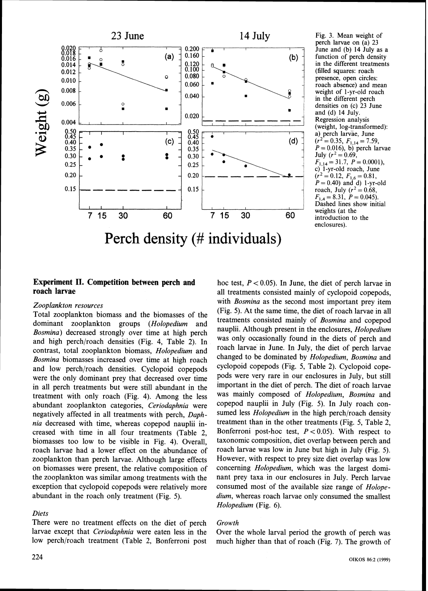

Fig. **3.** Mean weight of perch larvae on (a) 23 June and (b) 14 July as a function of perch density in the different treatments (filled squares: roach presence, open circles:<br>roach absence) and mean weight of 1-yr-old roach in the different perch densities on (c) 23 June and (d) 14 July. Regression analysis (weight, log-transformed): a) perch larvae, June  $(r^2 = 0.35, F_{1,14} = 7.59,$  $P = 0.016$ , b) perch larvae July  $(r^2 = 0.69)$ ,  $F_{1,14} = 31.7, P = 0.0001,$ <br>c) 1-yr-old roach, June c) 1-yr-old roach, June<br> $(r^2 = 0.12 \quad F_{\text{max}} = 0.81)$  $=0.12, F_{1,6}=0.81,$  $P = 0.40$ ) and d) 1-yr-old roach, July ( $r^2 = 0.68$ ,  $F_{1,4} = 8.31, P = 0.045.$ Dashed lines show initial weights (at the introduction to the enclosures).

# **Experiment 11. Competition between perch and roach larvae**

### *Zooplankton resources*

Total zooplankton biomass and the biomasses of the dominant zooplankton groups *(Holopedium* and *Bosmina)* decreased strongly over time at high perch and high perch/roach densities (Fig. 4, Table 2). In contrast, total zooplankton biomass, *Holopedium* and *Bosmina* biomasses increased over time at high roach and low perch/roach densities. Cyclopoid copepods were the only dominant prey that decreased over time in all perch treatments but were still abundant in the treatment with only roach (Fig. *4).* Among the less abundant zooplankton categories, *Ceriodaphnia* were negatively affected in all treatments with perch, *Daphnia* decreased with time, whereas copepod nauplii increased with time in all four treatments (Table 2, biomasses too low to be visible in Fig. *4).* Overall, roach larvae had a lower effect on the abundance of zooplankton than perch larvae. Although large effects on biomasses were present, the relative composition of the zooplankton was similar among treatments with the exception that cyclopoid copepods were relatively more abundant in the roach only treatment (Fig. *5).* 

#### *Diets*

There were no treatment effects on the diet of perch larvae except that *Ceriodaphnia* were eaten less in the low perch/roach treatment (Table 2, Bonferroni post

hoc test,  $P < 0.05$ ). In June, the diet of perch larvae in all treatments consisted mainly of cyclopoid copepods, with *Bosmina* as the second most important prey item (Fig. *5).* At the same time, the diet of roach larvae in all treatments consisted mainly of *Bosmina* and copepod nauplii. Although present in the enclosures, *Holopedium*  was only occasionally found in the diets of perch and roach larvae in June. In July, the diet of perch larvae changed to be dominated by *Holopedium, Bosmina* and cyclopoid copepods (Fig. *5,* Table 2). Cyclopoid copepods were very rare in our enclosures in July, but still important in the diet of perch. The diet of roach larvae was mainly composed of *Holopedium*, *Bosmina* and copepod nauplii in July (Fig. *5).* In July roach consumed less *Holopedium* in the high perch/roach density treatment than in the other treatments (Fig. *5,* Table 2, Bonferroni post-hoc test, P <*0.05).* With respect to taxonomic composition, diet overlap between perch and roach larvae was low in June but high in July (Fig. 5). However, with respect to prey size diet overlap was low concerning *Holopedium,* which was the largest dominant prey taxa in our enclosures in July. Perch larvae consumed most of the available size range of *Holopedium,* whereas roach larvae only consumed the smallest *Holopedium* (Fig. 6).

#### *Gvo~vtlz*

Over the whole larval period the growth of perch was much higher than that of roach (Fig. 7). The growth of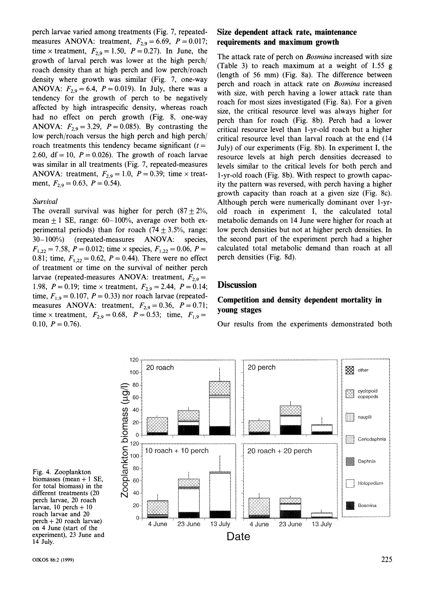perch larvae varied among treatments (Fig. 7, repeatedmeasures ANOVA: treatment,  $F_{2,9} = 6.69$ ,  $P = 0.017$ ; time x treatment,  $F_{2,9} = 1.50$ ,  $P = 0.27$ ). In June, the growth of larval perch was lower at the high perch/ roach density than at high perch and low perch/roach density where growth was similar (Fig. 7, one-way ANOVA:  $F_{2,9} = 6.4$ ,  $P = 0.019$ ). In July, there was a tendency for the growth of perch to be negatively affected by high intraspecific density, whereas roach had no effect on perch growth (Fig. 8, one-way ANOVA:  $F_{2,9} = 3.29$ ,  $P = 0.085$ ). By contrasting the low perch/roach versus the high perch and high perch/ roach treatments this tendency became significant  $(t =$ 2.60, df = 10,  $P = 0.026$ ). The growth of roach larvae was similar in all treatments (Fig. 7, repeated-measures ANOVA: treatment,  $F_{2,9} = 1.0$ ,  $P = 0.39$ ; time x treatment,  $F_{2,9} = 0.63$ ,  $P = 0.54$ ).

#### *Suruival*

The overall survival was higher for perch  $(87 + 2\%,$ mean  $\pm$  1 SE, range: 60-100%, average over both experimental periods) than for roach  $(74 \pm 3.5\%$ , range: 30- 100%) (repeated-measures ANOVA: species,  $F_{1,22} = 7.58$ ,  $P = 0.012$ ; time  $\times$  species,  $F_{1,22} = 0.06$ ,  $P =$ 0.81; time,  $F_{1,22} = 0.62$ ,  $P = 0.44$ ). There were no effect of treatment or time on the survival of neither perch larvae (repeated-measures ANOVA: treatment,  $F_{2,9}$  = 1.98,  $P = 0.19$ ; time x treatment,  $F_{2.9} = 2.44$ ,  $P = 0.14$ ; time,  $F_{1,9} = 0.107$ ,  $P = 0.33$ ) nor roach larvae (repeatedmeasures ANOVA: treatment,  $F_{2,9} = 0.36$ ,  $P = 0.71$ ; time x treatment,  $F_{2,9} = 0.68$ ,  $P = 0.53$ ; time,  $F_{1,9} =$  $0.10, P = 0.76$ .

# **Size dependent attack rate, maintenance requirements and maximum growth**

The attack rate of perch on *Bosmina* increased with size (Table 3) to reach maximum at a weight of 1.55 g (length of 56 mm) (Fig. 8a). The difference between perch and roach in attack rate on *Bosmina* increased with size, with perch having a lower attack rate than roach for most sizes investigated (Fig. 8a). For a given size, the critical resource level was always higher for perch than for roach (Fig. 8b). Perch had a lower critical resource level than 1-yr-old roach but a higher critical resource level than larval roach at the end (14 July) of our experiments (Fig. 8b). In experiment I, the resource levels at high perch densities decreased to levels similar to the critical levels for both perch and 1-yr-old roach (Fig. 8b). With respect to growth capacity the pattern was reversed, with perch having a higher growth capacity than roach at a given size (Fig. 8c). Although perch were numerically dominant over l-yrold roach in experiment I, the calculated total metabolic demands on 14 June were higher for roach at low perch densities but not at higher perch densities. In the second part of the experiment perch had a higher calculated total metabolic demand than roach at all perch densities (Fig. 8d).

# **Discussion**

# **Competition and density dependent mortality in young stages**

Our results from the experiments demonstrated both



Fig. 4. Zooplankton biomasses (mean  $+1$  SE, for total biomass) in the different treatments (20 perch larvae, 20 roach larvae,  $10$  perch  $+10$ roach larvae and 20 perch +20 roach larvae) on 4 June (start of the experiment), 23 June and 14 July.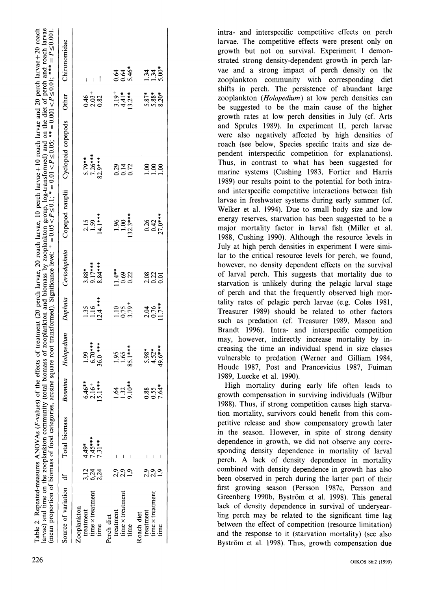|                        |              |               |                      |                             |                     |                     |                               | Table 2. Repeated-measures ANOVAs (F-values) of the effects of treatment (20 perch larvae, 20 roach larvae, 10 perch larvae+10 roach larvae and 20 perch larvae+20 roach<br>arvae) and time on the zooplankton community (total biomass of zooplankton and biomass by zooplankton group, log-transformed) and on the diet of perch and roach larvae<br>mean proportion of biomass of food categories, arcsine square root transformed). Significance level: $+ = 0.05 < P \le 0.1$ ; $* = 0.001 < P \le 0.01$ ; $* = P \le 0.01$ ; $* * = P \le 0.001$ |                               |                     |
|------------------------|--------------|---------------|----------------------|-----------------------------|---------------------|---------------------|-------------------------------|--------------------------------------------------------------------------------------------------------------------------------------------------------------------------------------------------------------------------------------------------------------------------------------------------------------------------------------------------------------------------------------------------------------------------------------------------------------------------------------------------------------------------------------------------------|-------------------------------|---------------------|
| Source of variation df |              | Total biomass | Bosmina              |                             |                     |                     |                               | Holopedium Daphnia Ceriodaphnia Copepod nauplii Cyclopoid copepods Other                                                                                                                                                                                                                                                                                                                                                                                                                                                                               |                               | Chironomidae        |
| Zooplankton            |              |               |                      |                             |                     |                     |                               |                                                                                                                                                                                                                                                                                                                                                                                                                                                                                                                                                        |                               |                     |
| treatment              | 3,12         | $4.49*$       |                      | 1.99                        |                     |                     |                               |                                                                                                                                                                                                                                                                                                                                                                                                                                                                                                                                                        |                               |                     |
| time x treatment       |              | $7.45***$     | $\frac{46}{16}$ +    | $6.70***$                   | $\frac{1.35}{1.16}$ | $3.88$ *<br>9.17*** | $\frac{2.15}{1.59}$           | $5.79***$<br>7.26***                                                                                                                                                                                                                                                                                                                                                                                                                                                                                                                                   |                               |                     |
| time                   | 5.24<br>2.24 | $7.31**$      | $***$<br>15.1        | 36.0 ***                    | $12.4***$           | 8.84 ***            | $14.1***$                     | 82.9***                                                                                                                                                                                                                                                                                                                                                                                                                                                                                                                                                | 4032<br>0.32<br>0.32          | i                   |
| Perch diet             |              |               |                      |                             |                     |                     |                               |                                                                                                                                                                                                                                                                                                                                                                                                                                                                                                                                                        |                               |                     |
| treatment              |              |               |                      |                             | 1.10                | $1.4**$             |                               |                                                                                                                                                                                                                                                                                                                                                                                                                                                                                                                                                        |                               |                     |
| time x treatment       | 2,9          |               | $1.32$<br>$-3.10$ ** | $\frac{35}{1.65}$           |                     | 0.69                | $\frac{86}{1.00}$             | $0.29$<br>0.14                                                                                                                                                                                                                                                                                                                                                                                                                                                                                                                                         |                               |                     |
| time                   |              |               |                      | 85.1***                     | $0.75$<br>3.79 +    | 0.22                | $132.3***$                    | 0.72                                                                                                                                                                                                                                                                                                                                                                                                                                                                                                                                                   | $3.19^{+}$<br>4.41*<br>13.2** | दुदु#<br>००५        |
| Roach diet             |              |               |                      |                             |                     |                     |                               |                                                                                                                                                                                                                                                                                                                                                                                                                                                                                                                                                        |                               |                     |
| treatment              |              |               |                      |                             |                     |                     |                               | <u>୍</u>                                                                                                                                                                                                                                                                                                                                                                                                                                                                                                                                               |                               |                     |
| time x treatment       | 23<br>23     |               | 88<br>0.55           | $5.98*$<br>4.52*<br>49.6*** | 2.0K<br>0.76        | ឌី 3 3<br>ខ្លួង 2   | $0.26$<br>$0.42$<br>$27.0***$ | 00.1                                                                                                                                                                                                                                                                                                                                                                                                                                                                                                                                                   | ត្តិ<br>ភូនីនី<br>១.១ ខ្មែ    | $\frac{3136}{1300}$ |
| time                   |              |               | $7.64*$              |                             | $11.7***$           |                     |                               | $\frac{8}{1}$                                                                                                                                                                                                                                                                                                                                                                                                                                                                                                                                          |                               |                     |
|                        |              |               |                      |                             |                     |                     |                               |                                                                                                                                                                                                                                                                                                                                                                                                                                                                                                                                                        |                               |                     |

intra- and interspecific competitive effects on perch larvae. The competitive effects were present only on growth but not on survival. Experiment I demonstrated strong density-dependent growth in perch larvae and a strong impact of perch density on the zooplankton community with corresponding diet shifts in perch. The persistence of abundant large zooplankton (Holopedium) at low perch densities can be suggested to be the main cause of the higher growth rates at low perch densities in July (cf. Arts and Sprules 1989). In experiment 11, perch larvae were also negatively affected by high densities of roach (see below, Species specific traits and size dependent interspecific competition for explanations). Thus, in contrast to what has been suggested for marine systems (Cushing 1983, Fortier and Harris 1989) our results point to the potential for both intraand interspecific competitive interactions between fish larvae in freshwater systems during early summer (cf. Welker et al. 1994). Due to small body size and low energy reserves, starvation has been suggested to be a major mortality factor in larval fish (Miller et al. 1988, Cushing 1990). Although the resource levels in July at high perch densities in experiment I were similar to the critical resource levels for perch. we found, however, no density dependent effects on the survival of larval perch. This suggests that mortality due to starvation is unlikely during the pelagic larval stage of perch and that the frequently observed high mortality rates of pelagic perch larvae (e.g. Coles 1981, Treasurer 1989) should be related to other factors such as predation (cf. Treasurer 1989, Mason and Brandt 1996). Intra- and interspecific competition may, however, indirectly increase mortality by increasing the time an individual spend in size classes vulnerable to predation (Werner and Gilliam 1984, Houde 1987, Post and Prancevicius 1987, Fuiman 1989, Luecke et al. 1990).

High mortality during early life often leads to growth compensation in surviving individuals (Wilbur 1988). Thus, if strong competition causes high starvation mortality, survivors could benefit from this competitive release and show compensatory growth later in the season. However, in spite of strong density dependence in growth, we did not observe any corresponding density dependence in mortality of larval perch. A lack of density dependence in mortality combined with density dependence in growth has also been observed in perch during the latter part of their first growing season (Persson 1987c, Persson and Greenberg 1990b, Byström et al. 1998). This general lack of density dependence in survival of underyearling perch may be related to the significant time lag between the effect of competition (resource limitation) and the response to it (starvation mortality) (see also Byström et al. 1998). Thus, growth compensation due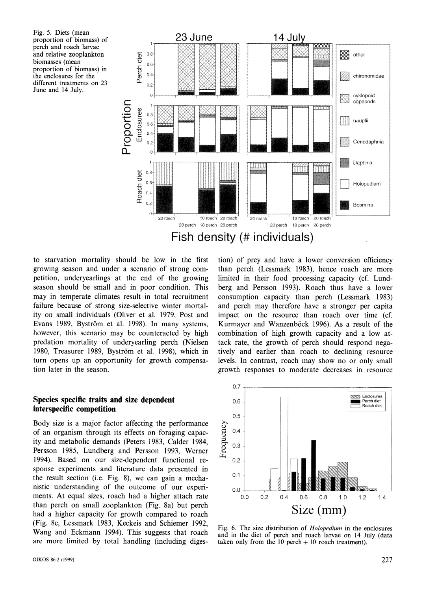Fig. 5. Diets (mean perch and roach larvae and relative zooplankton biomasses (mean proportion of biomass) in the enclosures for the different treatments on 23 June and 14 July.



to starvation mortality should be low in the first growing season and under a scenario of strong competition, underyearlings at the end of the growing season should be small and in poor condition. This may in temperate climates result in total recruitment failure because of strong size-selective winter mortality on small individuals (Oliver et al. 1979, Post and Evans 1989, Byström et al. 1998). In many systems, however, this scenario may be counteracted by high predation mortality of underyearling perch (Nielsen 1980. Treasurer 1989, Bystrom et al. 1998), which in turn opens up an opportunity for growth compensation later in the season.

**Species specific traits and size dependent interspecific competition** 

Body size is a major factor affecting the performance of an organism through its effects on foraging capacity and metabolic demands (Peters 1983, Calder 1984, Persson 1985, Lundberg and Persson 1993, Werner 1994). Based on our size-dependent functional response experiments and literature data presented in the result section (i.e. Fig. 8), we can gain a mechanistic understanding of the outcome of our experiments. At equal sizes, roach had a higher attach rate than perch on small zooplankton (Fig. 8a) but perch had a higher capacity for growth compared to roach (Fig. 8c, Lessmark 1983, Keckeis and Schiemer 1992, Wang and Eckmann 1994). This suggests that roach are more limited by total handling (including digestion) of prey and have a lower conversion efficiency than perch (Lessmark 1983), hence roach are more limited in their food processing capacity (cf. Lundberg and Persson 1993). Roach thus have a lower consumption capacity than perch (Lessmark 1983) and perch may therefore have a stronger per capita impact on the resource than roach over time (cf. Kurmayer and Wanzenböck 1996). As a result of the combination of high growth capacity and a low attack rate, the growth of perch should respond negatively and earlier than roach to declining resource levels. In contrast, roach may show no or only small growth responses to moderate decreases in resource



Fig. *6.* The size distribution of Holopedium in the enclosures and in the diet of perch and roach larvae on 14 July (data taken only from the  $10$  perch  $+10$  roach treatment).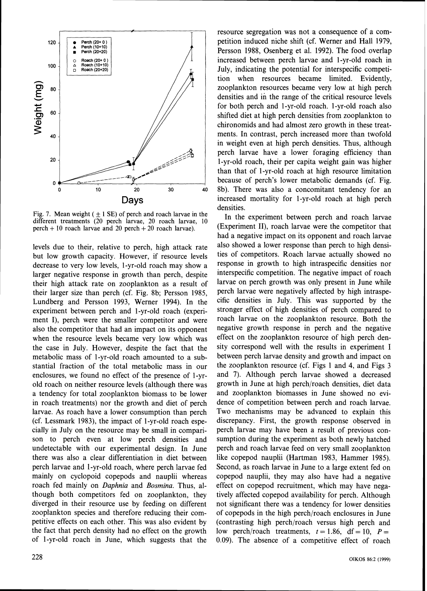

Fig. 7. Mean weight ( $\pm$  1 SE) of perch and roach larvae in the different treatments (20 perch larvae, 20 roach larvae, 10 perch + 10 roach larvae and 20 perch + 20 roach larvae).

levels due to their, relative to perch, high attack rate but low growth capacity. However, if resource levels decrease to very low levels, 1-yr-old roach may show a larger negative response in growth than perch, despite their high attack rate on zooplankton as a result of their larger size than perch (cf. Fig. 8b; Persson 1985, Lundberg and Persson 1993, Werner 1994). In the experiment between perch and 1-yr-old roach (experiment I), perch were the smaller competitor and were also the competitor that had an impact on its opponent when the resource levels became very low which was the case in July. However, despite the fact that the metabolic mass of 1-yr-old roach amounted to a substantial fraction of the total metabolic mass in our enclosures, we found no effect of the presence of 1-yrold roach on neither resource levels (although there was a tendency for total zooplankton biomass to be lower in roach treatments) nor the growth and diet of perch larvae. As roach have a lower consumption than perch (cf. Lessmark 1983), the impact of 1-yr-old roach especially in July on the resource may be small in comparison to perch even at low perch densities and undetectable with our experimental design. In June there was also a clear differentiation in diet between perch larvae and 1-yr-old roach, where perch larvae fed mainly on cyclopoid copepods and nauplii whereas roach fed mainly on Daphnia and Bosmina. Thus, although both competitors fed on zooplankton, they diverged in their resource use by feeding on different zooplankton species and therefore reducing their competitive effects on each other. This was also evident by the fact that perch density had no effect on the growth of 1-yr-old roach in June, which suggests that the

resource segregation was not a consequence of a competition induced niche shift (cf. Werner and Hall 1979, Persson 1988, Osenberg et al. 1992). The food overlap increased between perch larvae and 1-yr-old roach in July, indicating the potential for interspecific competition when resources became limited. Evidently, zooplankton resources became very low at high perch densities and in the range of the critical resource levels for both perch and 1-yr-old roach. 1-yr-old roach also shifted diet at high perch densities from zooplankton to chironomids and had almost zero growth in these treatments. In contrast, perch increased more than twofold in weight even at high perch densities. Thus, although perch larvae have a lower foraging efficiency than 1-yr-old roach, their per capita weight gain was higher than that of 1-yr-old roach at high resource limitation because of perch's lower metabolic demands (cf. Fig. 8b). There was also a concomitant tendency for an increased mortality for 1-yr-old roach at high perch densities.

In the experiment between perch and roach larvae (Experiment II), roach larvae were the competitor that had a negative impact on its opponent and roach larvae also showed a lower response than perch to high densities of competitors. Roach larvae actually showed no response in growth to high intraspecific densities nor interspecific competition. The negative impact of roach larvae on perch growth was only present in June while perch larvae were negatively affected by high intraspecific densities in July. This was supported by the stronger effect of high densities of perch compared to roach larvae on the zooplankton resource. Both the negative growth response in perch and the negative effect on the zooplankton resource of high perch density correspond well with the results in experiment I between perch larvae density and growth and impact on the zooplankton resource (cf. Figs 1 and 4, and Figs 3 and *7).* Although perch larvae showed a decreased growth in June at high perch/roach densities, diet data and zooplankton biomasses in June showed no evidence of competition between perch and roach larvae. Two mechanisms may be advanced to explain this discrepancy. First, the growth response observed in perch larvae may have been a result of previous consumption during the experiment as both newly hatched perch and roach larvae feed on very small zooplankton like copepod nauplii (Hartman 1983, Hammer 1985). Second, as roach larvae in June to a large extent fed on copepod nauplii, they may also have had a negative effect on copepod recruitment, which may have negatively affected copepod availability for perch. Although not significant there was a tendency for lower densities of copepods in the high perch/roach enclosures in June (contrasting high perch/roach versus high perch and low perch/roach treatments,  $t = 1.86$ , df = 10,  $P =$ 0.09). The absence of a competitive effect of roach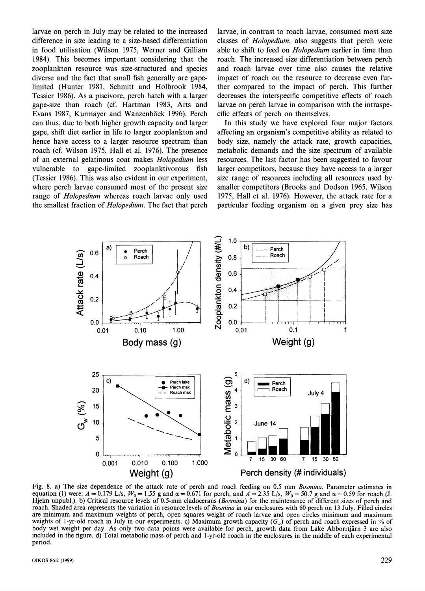larvae on perch in July may be related to the increased difference in size leading to a size-based differentiation in food utilisation (Wilson 1975, Werner and Gilliam 1984). This becomes important considering that the zooplankton resource was size-structured and species diverse and the fact that small fish generally are gapelimited (Hunter 1981, Schmitt and Holbrook 1984, Tessier 1986). As a piscivore, perch hatch with a larger gape-size than roach (cf. Hartman 1983, Arts and Evans 1987, Kurmayer and Wanzenböck 1996). Perch can thus, due to both higher growth capacity and larger gape, shift diet earlier in life to larger zooplankton and hence have access to a larger resource spectrum than roach (cf. Wilson 1975, Hall et al. 1976). The presence of an external gelatinous coat makes *Holopediurn* less vulnerable to gape-limited zooplanktivorous fish (Tessier 1986). This was also evident in our experiment, where perch larvae consumed most of the present size range of *Holopedium* whereas roach larvae only used the smallest fraction of *Holopedium.* The fact that perch to a larger resource spectrum than<br>1975, Hall et al. 1976). The presence r<br>atinous coat makes *Holopedium* less<br>rape-limited zooplanktivorous fish 1<br>is was also evident in our experiment,<br>e consumed most of the present siz

larvae, in contrast to roach larvae, consumed most size classes of *Holopedium,* also suggests that perch were able to shift to feed on *Holopedium* earlier in time than roach. The increased size differentiation between perch and roach larvae over time also causes the relative impact of roach on the resource to decrease even further compared to the impact of perch. This further decreases the interspecific competitive effects of roach larvae on perch larvae in comparison with the intraspecific effects of perch on themselves.

In this study we have explored four major factors affecting an organism's competitive ability as related to body size, namely the attack rate, growth capacities, metabolic demands and the size spectrum of available resources. The last factor has been suggested to favour larger competitors, because they have access to a larger size range of resources including all resources used by smaller competitors (Brooks and Dodson 1965, Wilson 1975, Hall et al. 1976). However, the attack rate for a particular feeding organism on a given prey size has



Fig. 8. a) The size dependence of the attack rate of perch and roach feeding on 0.5 mm Bosmina. Parameter estimates in equation (1) were:  $A = 0.179$  L/s,  $W_0 = 1.55$  g and  $\alpha = 0.671$  for perch, and  $A = 2.35$  L/s,  $W_0 = 50.7$  g and  $\alpha = 0.59$  for roach (J. Hjelm unpubl.). b) Critical resource levels of 0.5-mm cladocerans (Bosmina) for the maintenance of different sizes of perch and roach. Shaded area represents the variation in resource levels of Bosmina in our enclosures with 60 perch on 13 July. Filled circles are minimum and maximum weights of perch, open squares weight of roach larvae and open circles minimum and maximum weights of 1-yr-old roach in July in our experiments. c) Maximum growth capacity  $(G_w)$  of perch and roach expressed in % of body wet weight per day. As only two data points were available for perch, growth data from Lake Abborrtjarn 3 are also included in the figure. d) Total metabolic mass of perch and 1-yr-old roach in the enclosures in the middle of each experimental period.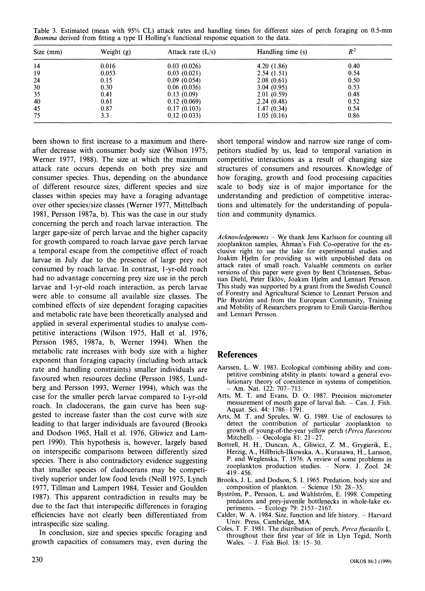(mean with 95% CL) attack rates and hand<br>om fitting a type II Holling's functional response Weight (g) Attack rate  $(I/s)$ Table 3. Estimated (mean with 95% CL) attack rates and handling times for different sizes of perch foraging on 0.5-mm *Bosmina* derived from fitting a type II Holling's functional response equation to the data.

| Size (mm) | Weight $(g)$ | Attack rate $(L/s)$ | Handling time (s) | $R^2$ |
|-----------|--------------|---------------------|-------------------|-------|
| 14        | 0.016        | 0.03(0.026)         | 4.20(1.86)        | 0.40  |
| 19        | 0.053        | 0.03(0.021)         | 2.54(1.51)        | 0.54  |
| 24        | 0.15         | 0.09(0.054)         | 2.08(0.61)        | 0.50  |
| 30        | 0.30         | 0.06(0.036)         | 3.04(0.95)        | 0.53  |
| 35        | 0.41         | 0.13(0.09)          | 2.01(0.59)        | 0.48  |
| 40        | 0.61         | 0.12(0.069)         | 2.24(0.48)        | 0.52  |
| 45        | 0.87         | 0.17(0.103)         | 1.47(0.34)        | 0.54  |
| 75        | 3.3          | 0.12(0.033)         | 1.05(0.16)        | 0.86  |

been shown to first increase to a maximum and thereafter decrease with consumer body size (Wilson 1975, Werner 1977, 1988). The size at which the maximum attack rate occurs depends on both prey size and consumer species. Thus, depending on the abundance of different resource sizes, different species and size classes within species may have a foraging advantage over other species/size classes (Werner 1977, Mittelbach 1981, Persson 1987a, b). This was the case in our study concerning the perch and roach larvae interaction. The larger gape-size of perch larvae and the higher capacity for growth compared to roach larvae gave perch larvae a temporal escape from the competitive effect of roach larvae in July due to the presence of large prey not consumed by roach larvae. In contrast, I-yr-old roach had no advantage concerning prey size use in the perch larvae and 1-yr-old roach interaction, as perch larvae were able to consume all available size classes. The combined effects of size dependent foraging capacities and metabolic rate have been theoretically analysed and applied in several experimental studies to analyse competitive interactions (Wilson 1975, Hall et al. 1976, Persson 1985, 1987a, b, Werner 1994). When the metabolic rate increases with body size with a higher exponent than foraging capacity (including both attack rate and handling constraints) smaller individuals are favoured when resources decline (Persson 1985, Lundberg and Persson 1993, Werner 1994), which was the case for the smaller perch larvae compared to 1-yr-old roach. In cladocerans, the gain curve has been suggested to increase faster than the cost curve with size leading to that larger individuals are favoured (Brooks and Dodson 1965, Hall et al. 1976, Gliwicz and Lampert 1990). This hypothesis is, however, largely based on interspecific comparisons between differently sized species. There is also contradictory evidence suggesting that smaller species of cladocerans may be competitively superior under low food levels (Neill 1975, Lynch 1977, Tillman and Lampert 1984, Tessier and Goulden 1987). This apparent contradiction in results may be due to the fact that interspecific differences in foraging efficiencies have not clearly been differentiated from intraspecific size scaling.

In conclusion, size and species specific foraging and growth capacities of consumers may. even during the short temporal window and narrow size range of competitors studied by us, lead to temporal variation in competitive interactions as a result of changing size structures of consumers and resources. Knowledge of how foraging, growth and food processing capacities scale to body size is of major importance for the understanding and prediction of competitive interactions and ultimately for the understanding of population and community dynamics.

*Acknowledgements – We thank Jens Karlsson for counting all* zooplankton samples, Ahman's Fish Co-operative for the exclusive right to use the lake for experimental studies and Joakim Hjelm for providing us with unpublished data on attack rates of small roach. Valuable comments on earlier versions of this paper were given by Bent Christensen, Sebastian Diehl, Peter Eklov, Joakim Hjelm and Lennart Persson. This study was supported by a grant from the Swedish Council of Forestry and Agricultural Science to Lennart Persson and Pär Byström and from the European Community, Training and Mobility of Researchers program to Emili Garcia-Berthou and Lennart Persson.

# **References**

- Aarssen, L. W. 1983. Ecological combining ability and competitive combining ability in plants: toward a general evolutionary theory of coexistence in systems of competition.  $-$  Am. Nat. 122: 707-713.
- Arts, M. T. and Evans, D. 0. 1987. Precision micrometer measurement of mouth gape of larval fish. - Can. J. Fish. Aquat. Sci. 44: 1786-1791.
- Arts, M. T. and Sprules. W. G. 1989. Use of enclosures to detect the contribution of particular zooplankton to growth of young-of-the-year yellow perch (Perca flavescens Mitchell).  $-$  Oecologia 81: 21 $-27$ .
- Bottrell. H. H., Duncan, A., Gliwicz, Z. M., Grygierik, E., Herzig, A,, Hillbrich-Ilkowska, A,, Kurasawa, H., Larsson, P. and Weglenska, T. 1976. A review of some problems in zooplankton production studies. - Norw. J. Zool. 24: 419-456.
- Brooks, J. L. and Dodson, S. I. 1965. Predation, body size and composition of plankton. - Science 150: 28-35.
- Byström, P., Persson, L. and Wahlström, E. 1998. Competing predators and prey-juvenile bottlenecks in whole-lake ex- periments. - Ecology 79: 2153-2167.
- Calder, W. A. 1984. Size, function and life history.  $-$  Harvard Univ. Press, Cambridge, MA.
- Coles, T. F. 1981. The distribution of perch, Perca fluviatilis L. throughout their first year of life in Llyn Tegid, North Wales. -J. Fish Biol. 18: 15-30.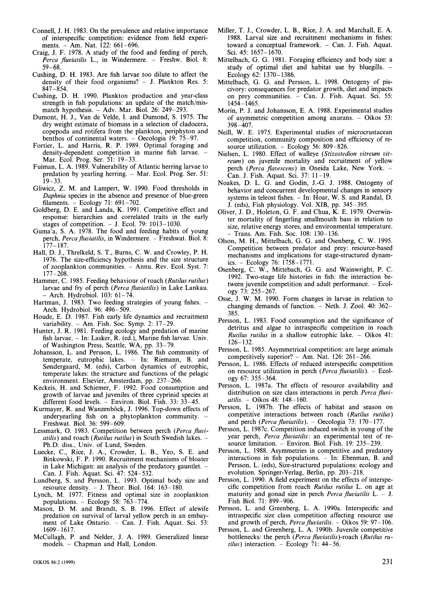- Connell, J. H. 1983. On the prevalence and relative importance of interspecific competition: evidence from field experiments. - Am. Nat. 122: 661-696.
- Craig, J. F. 1978. A study of the food and feeding of perch, Perca fluviatilis L., in Windermere. - Freshw. Biol. 8: 59-68.
- Cushing, D. H. 1983. Are fish larvae too dilute to affect the density of their food organisms? - J. Plankton Res. 5: 847-854.
- Cushing, D. H. 1990. Plankton production and year-class strength in fish populations: an update of the match/mismatch hypothesis. - Adv. Mar. Biol. 26: 249-293.
- Dumont, H. J., Van de Velde, I. and Dumond, S. 1975. The dry weight estimate of biomass in a selection of cladocera, copepoda and rotifera from the plankton, periphyton and benthos of continental waters. - Oecologia 19: 75-97.
- Fortier, L. and Harris, R. P. 1989. Optimal foraging and density-dependent competition in marine fish larvae. -Mar. Ecol. Prog. Ser. 51: 19-33.
- Fuiman, L. A. 1989. Vulnerability of Atlantic herring larvae to predation by yearling herring. - Mar. Ecol. Prog. Ser. 51:  $19 - 33$ .
- Gliwicz, Z. M. and Lampert, W. 1990. Food thresholds in *Daphnia* species in the absence and presence of blue-green filaments. - Ecology 71: 691-702.
- Goldberg, D. E. and Landa, K. 1991. Competitive effect and response: hierarchies and correlated traits in the early stages of competition. - J. Ecol. 79: 1013-1030.
- Guma'a, S. A. 1978. The food and feeding habits of young perch, Perca fluviatilis, in Windermere. - Freshwat. Biol. 8: 177-187.
- Hall, D. J., Threlkeld, S. T., Burns, C. W. and Crowley, P. H. 1976. The size-efficiency hypothesis and the size structure of zooplankton communities. - Annu. Rev. Ecol. Syst. 7: 177-208.
- Hammer, C. 1985. Feeding behaviour of roach *(Rutilus rutilus)*  larvae and fry of perch *(Percafluuiatilis)*in Lake Lankau. - Arch. Hydrobiol. 103: 61-74.
- Hartman, J. 1983. Two feeding strategies of young fishes. -Arch. Hydrobiol. 96: 496-509.
- Houde, E. D. 1987. Fish early life dynamics and recruitment variability. - Am. Fish. Soc. Symp. 2: 17-29.
- Hunter, J. R. 1981. Feeding ecology and predation of marine fish larvae. - In: Lasker, R. (ed.), Marine fish larvae. Univ. of Washington Press, Seattle, WA, pp. 33-79.
- Johansson, L. and Persson, L. 1986. The fish community of temperate, eutrophic lakes. - In: Riemann, B. and Søndergaard, M. (eds), Carbon dynamics of eutrophic, temperate lakes: the structure and functions of the pelagic environment. Elsevier, Amsterdam, pp. 237-266.
- Keckeis, H. and Schiemer, F. 1992. Food consumption and growth of larvae and juveniles of three cyprinid species at different food levels. - Environ. Biol. Fish. 33: 33-45.
- Kurmayer, R. and Wanzenböck, J. 1996. Top-down effects of underyearling fish on a phytoplankton community. Freshwat. Biol. 36: 599-609.
- Lessmark. 0. 1983. Competition between perch *(Perca fluviatilis)* and roach *(Rutilus rutilus)* in South Swedish lakes. - Ph.D. diss.. Univ. of Lund, Sweden.
- Luecke, C., Rice, J. **A,,** Crowder, L. B., Yeo, S. E. and Binkowski, F. P. 1990. Recruitment mechanisms of bloater in Lake Michigan: an analysis of the predatory gauntlet. -Can. J. Fish. Aquat. Sci. 47: 524-532.
- Lundberg, S. and Persson, L. 1993. Optimal body size and resource density.  $-$  J. Theor. Biol. 164: 163-180.
- Lynch, M. 1977. Fitness and optimal size in zooplankton populations. - Ecology 58: 763-774.
- Mason, D. M. and Brandt, S. B. 1996. Effect of alewife predation on survival of larval yellow perch in an embayment of Lake Ontario. - Can. J. Fish. Aquat. Sci. 53: 1609-1617.
- McCullagh, P. and Nelder, J. A. 1989. Generalized linear models. - Chapman and Hall, London.
- Miller, T. J., Crowder, L. B., Rice, J. A. and Marchall, E. A. 1988. Larval size and recruitment mechanisms in fishes: toward a conceptual framework. - Can. J. Fish. Aquat.
- Sci. 45: 1657–1670.<br>Mittelbach, G. G. 1981. Foraging efficiency and body size: a study of optimal diet and habitat use by bluegills. -Ecology 62: 1370- 1386.
- Mittelbach, G. G. and Persson, L. 1998. Ontogeny of piscivory: consequences for predator growth, diet and impacts on prey communities. - Can. J. Fish. Aquat. Sci. 55:  $1454 - 1465$ .
- Morin, P. J. and Johansson, E. A. 1988. Experimental studies of asymmetric competition among anurans. - Oikos 53: 398-407.
- Neill, W. E. 1975. Experimental studies of microcrustacean competition, community composition and efficiency of resource utilization. - Ecology 56: 809-826.
- Nielsen, L. 1980. Effect of walleye *(Stizostedion vitreum vitreum)* on juvenile mortality and recruitment of yellow perch (Perca flavescens) in Oneida Lake, New York. -Can. J. Fish. Aquat. Sci. 37: 11 -19.
- Noakes, D. L. G. and Godin, J.-G. J. 1988. Ontogeny of behavior and concurrent developmental changes in sensory systems in teleost fishes. - In: Hoar, W. S. and Randal, D. J. (eds), Fish physiology. Vol. XIB, pp. 345-395.
- Oliver, J. D., Holeton, G. F. and Chua, K. E. 1979. Overwinter mortality of fingerling smallmouth bass in relation to size, relative energy stores; and environmental temperature. - Trans. Am. Fish. Soc. 108: 130- 136.
- Olson, M. H., Mittelbach, G. G. and Osenberg, C. W. 1995. Competition between predator and prey: resource-based mechanisms and implications for stage-structured dynamics. - $Ecology 76: 1758-1771.$
- Osenberg, C. W., Mittebach, G. G. and Wainwright, P. C. 1992. Two-stage life histories in fish: the interaction between juvenile competition and adult performance. - Ecology 73: 255-267.
- Osse, J. W. M. 1990. Form changes in larvae in relation to changing demands of function. - Neth. J. Zool. 40: 362-385.
- Persson, L. 1983. Food consumption and the significance of detritus and algae to intraspecific competition in roach *Rutilus rutilus* in a shallow eutrophic lake. - Oikos 41: 126-132.
- Persson, L. 1985. Asymmetrical competition: are large animals competitively superior? - Am. Nat.  $126: 261-266$ .
- Persson, L. 1986. Effects of reduced interspecific competition on resource utilization in perch *(Perca juciatilis).* - Ecology 67: 355-364.
- Persson, L. 1987a. The effects of resource availability and distribution on size class interactions in perch *Perca fluriatilis.* - Oikos 48: 148-160.
- Persson, L. 1987b. The effects of habitat and season on competitive interactions between roach *(Rutilus rutilus)*  and perch *(Perca fluviatilis).* - Oecologia 73: 170-177.
- Persson, L. 1987c. Competition induced switch in young of the year perch, *Percu fluviatilis:* an experimental test of resource limitation.  $-$  Environ. Biol. Fish. 19: 235-239.
- Persson, L. 1988. Asymmetries in competitive and predatory interactions in fish populations.  $-$  In: Ebenman, B. and Persson. L. (eds), Size-structured populations: ecology and evolution. Springer-Verlag, Berlin, pp. 203-218.
- Persson, L. 1990. A field experiment on the effects of interspecific competition from roach *Rutilus rutilus* L. on age at maturity and gonad size in perch *Perca fluviatilis* L. - J. Fish Biol. 71: 899-906.
- Persson. L. and Greenberg, L. A. 1990a. Interspecific and intraspecific size class competition affecting resource use and growth of perch, *Perca fluviatilis.* - Oikos 59: 97-106.
- Persson, L. and Greenberg. L. A. 1990b. Juvenile competitive bottlenecks: the perch (Perca fluviatilis)-roach (Rutilus ru*tilus*) interaction. - Ecology 71: 44-56.